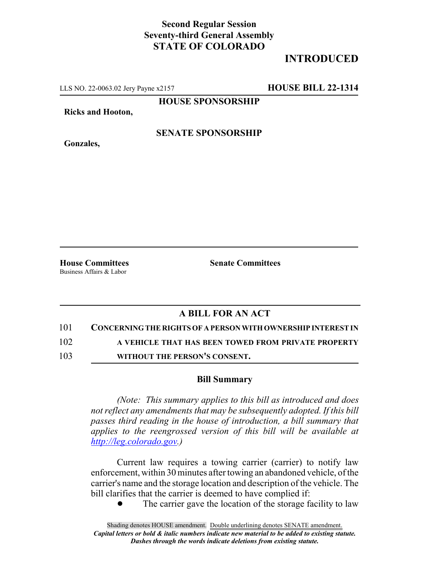## **Second Regular Session Seventy-third General Assembly STATE OF COLORADO**

## **INTRODUCED**

LLS NO. 22-0063.02 Jery Payne x2157 **HOUSE BILL 22-1314**

**HOUSE SPONSORSHIP**

**Ricks and Hooton,**

**Gonzales,**

**SENATE SPONSORSHIP**

Business Affairs & Labor

**House Committees Senate Committees**

## **A BILL FOR AN ACT**

101 **CONCERNING THE RIGHTS OF A PERSON WITH OWNERSHIP INTEREST IN**

102 **A VEHICLE THAT HAS BEEN TOWED FROM PRIVATE PROPERTY**

103 **WITHOUT THE PERSON'S CONSENT.**

## **Bill Summary**

*(Note: This summary applies to this bill as introduced and does not reflect any amendments that may be subsequently adopted. If this bill passes third reading in the house of introduction, a bill summary that applies to the reengrossed version of this bill will be available at http://leg.colorado.gov.)*

Current law requires a towing carrier (carrier) to notify law enforcement, within 30 minutes after towing an abandoned vehicle, of the carrier's name and the storage location and description of the vehicle. The bill clarifies that the carrier is deemed to have complied if:

The carrier gave the location of the storage facility to law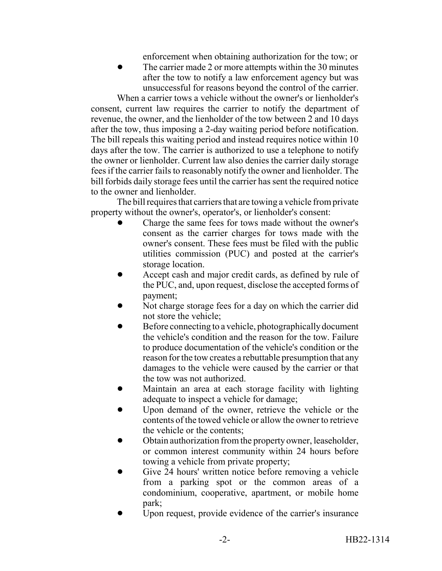enforcement when obtaining authorization for the tow; or

The carrier made 2 or more attempts within the 30 minutes after the tow to notify a law enforcement agency but was unsuccessful for reasons beyond the control of the carrier.

When a carrier tows a vehicle without the owner's or lienholder's consent, current law requires the carrier to notify the department of revenue, the owner, and the lienholder of the tow between 2 and 10 days after the tow, thus imposing a 2-day waiting period before notification. The bill repeals this waiting period and instead requires notice within 10 days after the tow. The carrier is authorized to use a telephone to notify the owner or lienholder. Current law also denies the carrier daily storage fees if the carrier fails to reasonably notify the owner and lienholder. The bill forbids daily storage fees until the carrier has sent the required notice to the owner and lienholder.

The bill requires that carriers that are towing a vehicle from private property without the owner's, operator's, or lienholder's consent:

- ! Charge the same fees for tows made without the owner's consent as the carrier charges for tows made with the owner's consent. These fees must be filed with the public utilities commission (PUC) and posted at the carrier's storage location.
- Accept cash and major credit cards, as defined by rule of the PUC, and, upon request, disclose the accepted forms of payment;
- Not charge storage fees for a day on which the carrier did not store the vehicle;
- ! Before connecting to a vehicle, photographically document the vehicle's condition and the reason for the tow. Failure to produce documentation of the vehicle's condition or the reason for the tow creates a rebuttable presumption that any damages to the vehicle were caused by the carrier or that the tow was not authorized.
- Maintain an area at each storage facility with lighting adequate to inspect a vehicle for damage;
- Upon demand of the owner, retrieve the vehicle or the contents of the towed vehicle or allow the owner to retrieve the vehicle or the contents;
- ! Obtain authorization from the property owner, leaseholder, or common interest community within 24 hours before towing a vehicle from private property;
- Give 24 hours' written notice before removing a vehicle from a parking spot or the common areas of a condominium, cooperative, apartment, or mobile home park;
- ! Upon request, provide evidence of the carrier's insurance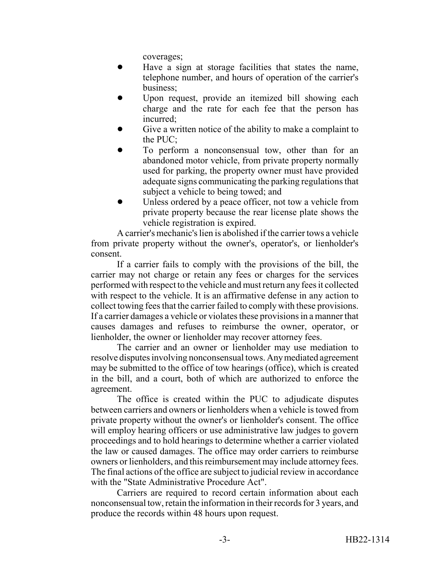coverages;

- ! Have a sign at storage facilities that states the name, telephone number, and hours of operation of the carrier's business;
- Upon request, provide an itemized bill showing each charge and the rate for each fee that the person has incurred;
- Give a written notice of the ability to make a complaint to the PUC;
- To perform a nonconsensual tow, other than for an abandoned motor vehicle, from private property normally used for parking, the property owner must have provided adequate signs communicating the parking regulations that subject a vehicle to being towed; and
- Unless ordered by a peace officer, not tow a vehicle from private property because the rear license plate shows the vehicle registration is expired.

A carrier's mechanic's lien is abolished if the carrier tows a vehicle from private property without the owner's, operator's, or lienholder's consent.

If a carrier fails to comply with the provisions of the bill, the carrier may not charge or retain any fees or charges for the services performed with respect to the vehicle and must return any fees it collected with respect to the vehicle. It is an affirmative defense in any action to collect towing fees that the carrier failed to comply with these provisions. If a carrier damages a vehicle or violates these provisions in a manner that causes damages and refuses to reimburse the owner, operator, or lienholder, the owner or lienholder may recover attorney fees.

The carrier and an owner or lienholder may use mediation to resolve disputes involving nonconsensual tows. Any mediated agreement may be submitted to the office of tow hearings (office), which is created in the bill, and a court, both of which are authorized to enforce the agreement.

The office is created within the PUC to adjudicate disputes between carriers and owners or lienholders when a vehicle is towed from private property without the owner's or lienholder's consent. The office will employ hearing officers or use administrative law judges to govern proceedings and to hold hearings to determine whether a carrier violated the law or caused damages. The office may order carriers to reimburse owners or lienholders, and this reimbursement may include attorney fees. The final actions of the office are subject to judicial review in accordance with the "State Administrative Procedure Act".

Carriers are required to record certain information about each nonconsensual tow, retain the information in their records for 3 years, and produce the records within 48 hours upon request.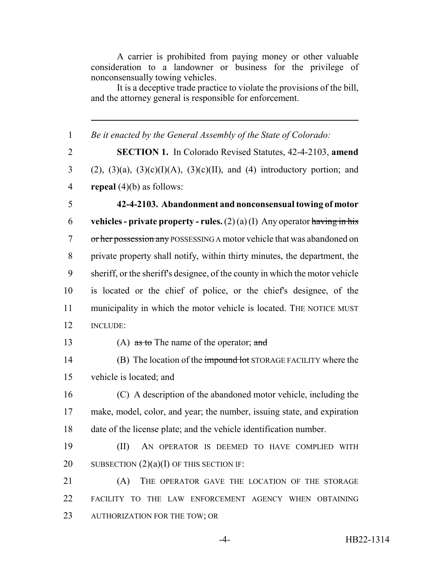A carrier is prohibited from paying money or other valuable consideration to a landowner or business for the privilege of nonconsensually towing vehicles.

It is a deceptive trade practice to violate the provisions of the bill, and the attorney general is responsible for enforcement.

1 *Be it enacted by the General Assembly of the State of Colorado:*

2 **SECTION 1.** In Colorado Revised Statutes, 42-4-2103, **amend** 3 (2), (3)(a), (3)(c)(I)(A), (3)(c)(II), and (4) introductory portion; and 4 **repeal** (4)(b) as follows:

 **42-4-2103. Abandonment and nonconsensual towing of motor vehicles - private property - rules.**  $(2)(a)(I)$  Any operator having in his 7 or her possession any POSSESSING A motor vehicle that was abandoned on private property shall notify, within thirty minutes, the department, the sheriff, or the sheriff's designee, of the county in which the motor vehicle is located or the chief of police, or the chief's designee, of the municipality in which the motor vehicle is located. THE NOTICE MUST 12 INCLUDE:

13 (A) as to The name of the operator; and

14 (B) The location of the impound lot STORAGE FACILITY where the 15 vehicle is located; and

16 (C) A description of the abandoned motor vehicle, including the 17 make, model, color, and year; the number, issuing state, and expiration 18 date of the license plate; and the vehicle identification number.

19 (II) AN OPERATOR IS DEEMED TO HAVE COMPLIED WITH 20 SUBSECTION  $(2)(a)(I)$  OF THIS SECTION IF:

21 (A) THE OPERATOR GAVE THE LOCATION OF THE STORAGE 22 FACILITY TO THE LAW ENFORCEMENT AGENCY WHEN OBTAINING 23 AUTHORIZATION FOR THE TOW; OR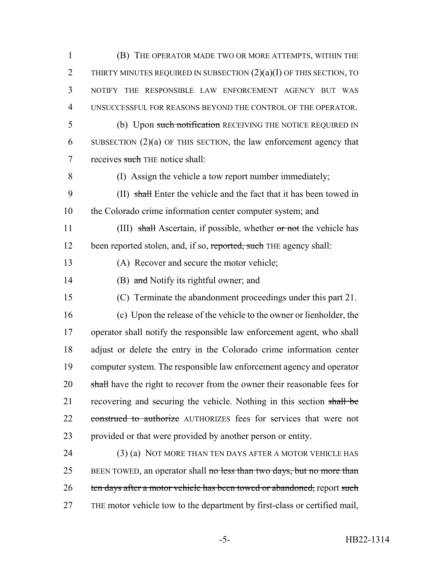1 (B) THE OPERATOR MADE TWO OR MORE ATTEMPTS, WITHIN THE 2 THIRTY MINUTES REQUIRED IN SUBSECTION  $(2)(a)(I)$  OF THIS SECTION, TO 3 NOTIFY THE RESPONSIBLE LAW ENFORCEMENT AGENCY BUT WAS 4 UNSUCCESSFUL FOR REASONS BEYOND THE CONTROL OF THE OPERATOR. 5 (b) Upon such notification RECEIVING THE NOTICE REQUIRED IN 6 SUBSECTION (2)(a) OF THIS SECTION, the law enforcement agency that 7 receives such THE notice shall: 8 (I) Assign the vehicle a tow report number immediately; 9 (II) shall Enter the vehicle and the fact that it has been towed in 10 the Colorado crime information center computer system; and 11 (III) shall Ascertain, if possible, whether or not the vehicle has 12 been reported stolen, and, if so, reported, such THE agency shall: 13 (A) Recover and secure the motor vehicle; 14 (B) and Notify its rightful owner; and 15 (C) Terminate the abandonment proceedings under this part 21. 16 (c) Upon the release of the vehicle to the owner or lienholder, the 17 operator shall notify the responsible law enforcement agent, who shall 18 adjust or delete the entry in the Colorado crime information center 19 computer system. The responsible law enforcement agency and operator 20 shall have the right to recover from the owner their reasonable fees for 21 recovering and securing the vehicle. Nothing in this section shall be 22 construed to authorize AUTHORIZES fees for services that were not 23 provided or that were provided by another person or entity. 24 (3) (a) NOT MORE THAN TEN DAYS AFTER A MOTOR VEHICLE HAS 25 BEEN TOWED, an operator shall no less than two days, but no more than 26 ten days after a motor vehicle has been towed or abandoned, report such 27 THE motor vehicle tow to the department by first-class or certified mail,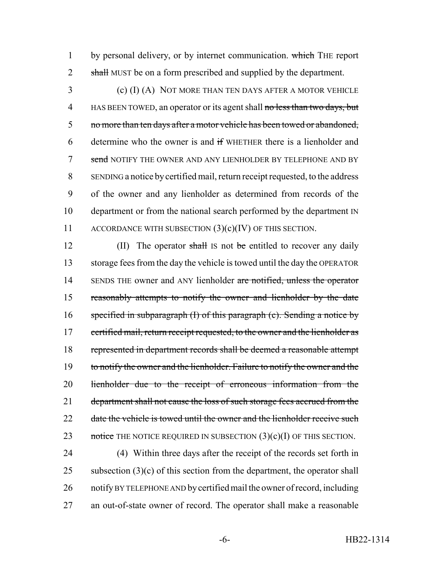1 by personal delivery, or by internet communication. which THE report 2 shall MUST be on a form prescribed and supplied by the department.

3 (c) (I) (A) NOT MORE THAN TEN DAYS AFTER A MOTOR VEHICLE 4 HAS BEEN TOWED, an operator or its agent shall no less than two days, but 5 no more than ten days after a motor vehicle has been towed or abandoned, 6 determine who the owner is and if WHETHER there is a lienholder and 7 send NOTIFY THE OWNER AND ANY LIENHOLDER BY TELEPHONE AND BY 8 SENDING a notice by certified mail, return receipt requested, to the address 9 of the owner and any lienholder as determined from records of the 10 department or from the national search performed by the department IN 11 ACCORDANCE WITH SUBSECTION  $(3)(c)(IV)$  OF THIS SECTION.

12 (II) The operator shall Is not be entitled to recover any daily 13 storage fees from the day the vehicle is towed until the day the OPERATOR 14 SENDS THE owner and ANY lienholder are notified, unless the operator 15 reasonably attempts to notify the owner and lienholder by the date 16 specified in subparagraph  $(I)$  of this paragraph  $(e)$ . Sending a notice by 17 certified mail, return receipt requested, to the owner and the lienholder as 18 represented in department records shall be deemed a reasonable attempt 19 to notify the owner and the lienholder. Failure to notify the owner and the 20 lienholder due to the receipt of erroneous information from the 21 department shall not cause the loss of such storage fees accrued from the 22 date the vehicle is towed until the owner and the lienholder receive such 23 notice THE NOTICE REQUIRED IN SUBSECTION  $(3)(c)(I)$  OF THIS SECTION.

 (4) Within three days after the receipt of the records set forth in 25 subsection  $(3)(c)$  of this section from the department, the operator shall notify BY TELEPHONE AND by certified mail the owner of record, including an out-of-state owner of record. The operator shall make a reasonable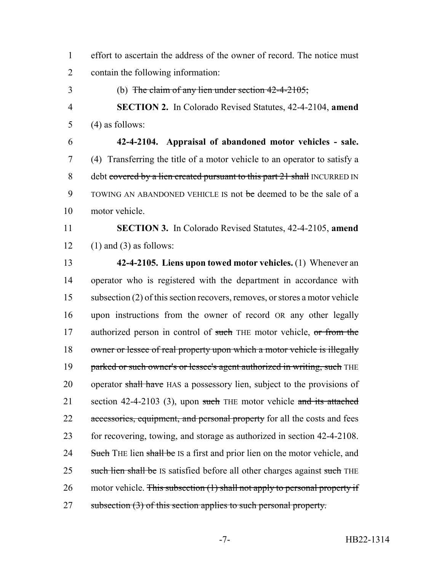1 effort to ascertain the address of the owner of record. The notice must 2 contain the following information:

3 (b) The claim of any lien under section 42-4-2105;

4 **SECTION 2.** In Colorado Revised Statutes, 42-4-2104, **amend** 5 (4) as follows:

6 **42-4-2104. Appraisal of abandoned motor vehicles - sale.** 7 (4) Transferring the title of a motor vehicle to an operator to satisfy a 8 debt covered by a lien created pursuant to this part 21 shall INCURRED IN 9 TOWING AN ABANDONED VEHICLE IS not be deemed to be the sale of a 10 motor vehicle.

11 **SECTION 3.** In Colorado Revised Statutes, 42-4-2105, **amend** 12 (1) and (3) as follows:

13 **42-4-2105. Liens upon towed motor vehicles.** (1) Whenever an 14 operator who is registered with the department in accordance with 15 subsection (2) of this section recovers, removes, or stores a motor vehicle 16 upon instructions from the owner of record OR any other legally 17 authorized person in control of such THE motor vehicle, or from the 18 owner or lessee of real property upon which a motor vehicle is illegally 19 parked or such owner's or lessee's agent authorized in writing, such THE 20 operator shall have HAS a possessory lien, subject to the provisions of 21 section 42-4-2103 (3), upon such THE motor vehicle and its attached 22 accessories, equipment, and personal property for all the costs and fees 23 for recovering, towing, and storage as authorized in section 42-4-2108. 24 Such THE lien shall be IS a first and prior lien on the motor vehicle, and 25 such lien shall be IS satisfied before all other charges against such THE 26 motor vehicle. This subsection  $(1)$  shall not apply to personal property if 27 subsection (3) of this section applies to such personal property.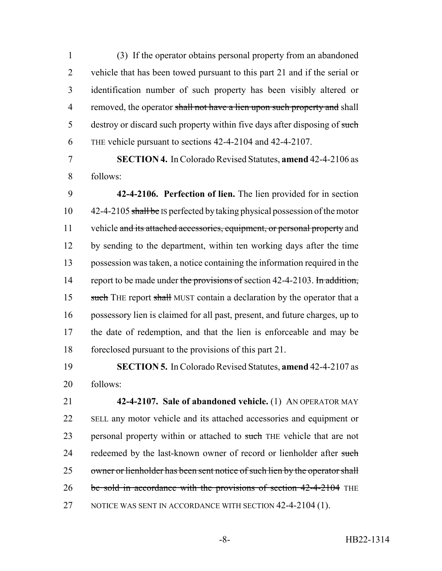(3) If the operator obtains personal property from an abandoned vehicle that has been towed pursuant to this part 21 and if the serial or identification number of such property has been visibly altered or 4 removed, the operator shall not have a lien upon such property and shall 5 destroy or discard such property within five days after disposing of such THE vehicle pursuant to sections 42-4-2104 and 42-4-2107.

7 **SECTION 4.** In Colorado Revised Statutes, **amend** 42-4-2106 as 8 follows:

9 **42-4-2106. Perfection of lien.** The lien provided for in section 10 42-4-2105 shall be IS perfected by taking physical possession of the motor 11 vehicle and its attached accessories, equipment, or personal property and 12 by sending to the department, within ten working days after the time 13 possession was taken, a notice containing the information required in the 14 report to be made under the provisions of section 42-4-2103. In addition, 15 such THE report shall MUST contain a declaration by the operator that a 16 possessory lien is claimed for all past, present, and future charges, up to 17 the date of redemption, and that the lien is enforceable and may be 18 foreclosed pursuant to the provisions of this part 21.

19 **SECTION 5.** In Colorado Revised Statutes, **amend** 42-4-2107 as 20 follows:

21 **42-4-2107. Sale of abandoned vehicle.** (1) AN OPERATOR MAY 22 SELL any motor vehicle and its attached accessories and equipment or 23 personal property within or attached to such THE vehicle that are not 24 redeemed by the last-known owner of record or lienholder after such 25 owner or lienholder has been sent notice of such lien by the operator shall 26 be sold in accordance with the provisions of section 42-4-2104 THE 27 NOTICE WAS SENT IN ACCORDANCE WITH SECTION 42-4-2104 (1).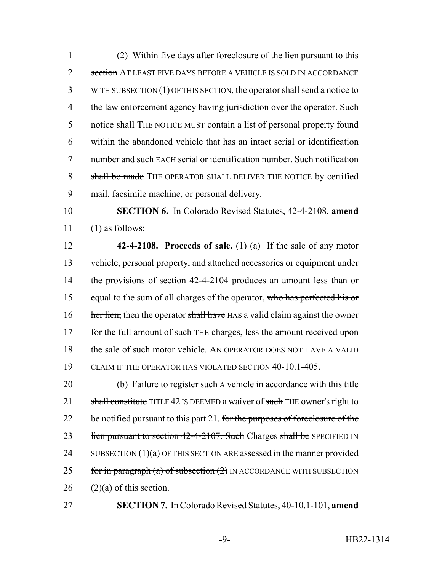1 (2) Within five days after foreclosure of the lien pursuant to this 2 section AT LEAST FIVE DAYS BEFORE A VEHICLE IS SOLD IN ACCORDANCE 3 WITH SUBSECTION (1) OF THIS SECTION, the operator shall send a notice to 4 the law enforcement agency having jurisdiction over the operator. Such 5 notice shall THE NOTICE MUST contain a list of personal property found 6 within the abandoned vehicle that has an intact serial or identification 7 number and such EACH serial or identification number. Such notification 8 shall be made THE OPERATOR SHALL DELIVER THE NOTICE by certified 9 mail, facsimile machine, or personal delivery.

10 **SECTION 6.** In Colorado Revised Statutes, 42-4-2108, **amend**  $11$  (1) as follows:

 **42-4-2108. Proceeds of sale.** (1) (a) If the sale of any motor vehicle, personal property, and attached accessories or equipment under the provisions of section 42-4-2104 produces an amount less than or 15 equal to the sum of all charges of the operator, who has perfected his or 16 her lien, then the operator shall have HAS a valid claim against the owner 17 for the full amount of such THE charges, less the amount received upon the sale of such motor vehicle. AN OPERATOR DOES NOT HAVE A VALID CLAIM IF THE OPERATOR HAS VIOLATED SECTION 40-10.1-405.

20 (b) Failure to register such A vehicle in accordance with this title 21 shall constitute TITLE 42 IS DEEMED a waiver of such THE owner's right to 22 be notified pursuant to this part 21. for the purposes of foreclosure of the 23 lien pursuant to section 42-4-2107. Such Charges shall be SPECIFIED IN 24 SUBSECTION  $(1)(a)$  OF THIS SECTION ARE assessed in the manner provided 25 for in paragraph (a) of subsection  $(2)$  IN ACCORDANCE WITH SUBSECTION  $26$  (2)(a) of this section.

27 **SECTION 7.** In Colorado Revised Statutes, 40-10.1-101, **amend**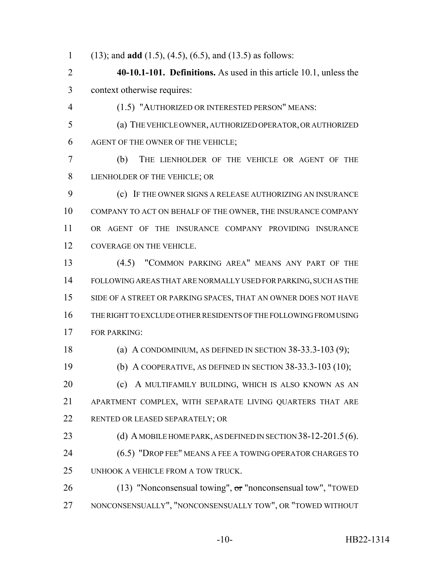(13); and **add** (1.5), (4.5), (6.5), and (13.5) as follows:

 **40-10.1-101. Definitions.** As used in this article 10.1, unless the context otherwise requires:

(1.5) "AUTHORIZED OR INTERESTED PERSON" MEANS:

 (a) THE VEHICLE OWNER, AUTHORIZED OPERATOR, OR AUTHORIZED AGENT OF THE OWNER OF THE VEHICLE;

 (b) THE LIENHOLDER OF THE VEHICLE OR AGENT OF THE LIENHOLDER OF THE VEHICLE; OR

 (c) IF THE OWNER SIGNS A RELEASE AUTHORIZING AN INSURANCE COMPANY TO ACT ON BEHALF OF THE OWNER, THE INSURANCE COMPANY OR AGENT OF THE INSURANCE COMPANY PROVIDING INSURANCE COVERAGE ON THE VEHICLE.

 (4.5) "COMMON PARKING AREA" MEANS ANY PART OF THE FOLLOWING AREAS THAT ARE NORMALLY USED FOR PARKING, SUCH AS THE SIDE OF A STREET OR PARKING SPACES, THAT AN OWNER DOES NOT HAVE THE RIGHT TO EXCLUDE OTHER RESIDENTS OF THE FOLLOWING FROM USING FOR PARKING:

(a) A CONDOMINIUM, AS DEFINED IN SECTION 38-33.3-103 (9);

(b) A COOPERATIVE, AS DEFINED IN SECTION 38-33.3-103 (10);

**(c)** A MULTIFAMILY BUILDING, WHICH IS ALSO KNOWN AS AN APARTMENT COMPLEX, WITH SEPARATE LIVING QUARTERS THAT ARE RENTED OR LEASED SEPARATELY; OR

23 (d) A MOBILE HOME PARK, AS DEFINED IN SECTION 38-12-201.5(6).

24 (6.5) "DROP FEE" MEANS A FEE A TOWING OPERATOR CHARGES TO UNHOOK A VEHICLE FROM A TOW TRUCK.

26 (13) "Nonconsensual towing", or "nonconsensual tow", "TOWED NONCONSENSUALLY", "NONCONSENSUALLY TOW", OR "TOWED WITHOUT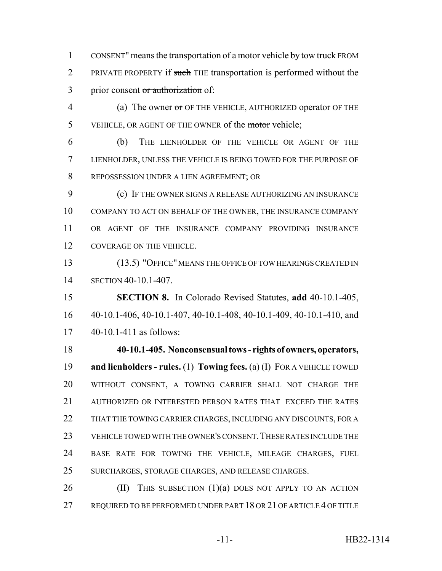1 CONSENT" means the transportation of a motor vehicle by tow truck FROM 2 PRIVATE PROPERTY if such THE transportation is performed without the 3 prior consent or authorization of:

4 (a) The owner or OF THE VEHICLE, AUTHORIZED operator OF THE 5 VEHICLE, OR AGENT OF THE OWNER of the motor vehicle;

 (b) THE LIENHOLDER OF THE VEHICLE OR AGENT OF THE LIENHOLDER, UNLESS THE VEHICLE IS BEING TOWED FOR THE PURPOSE OF REPOSSESSION UNDER A LIEN AGREEMENT; OR

 (c) IF THE OWNER SIGNS A RELEASE AUTHORIZING AN INSURANCE COMPANY TO ACT ON BEHALF OF THE OWNER, THE INSURANCE COMPANY OR AGENT OF THE INSURANCE COMPANY PROVIDING INSURANCE COVERAGE ON THE VEHICLE.

 (13.5) "OFFICE" MEANS THE OFFICE OF TOW HEARINGS CREATED IN SECTION 40-10.1-407.

 **SECTION 8.** In Colorado Revised Statutes, **add** 40-10.1-405, 40-10.1-406, 40-10.1-407, 40-10.1-408, 40-10.1-409, 40-10.1-410, and 40-10.1-411 as follows:

 **40-10.1-405. Nonconsensual tows - rights of owners, operators, and lienholders - rules.** (1) **Towing fees.** (a) (I) FOR A VEHICLE TOWED WITHOUT CONSENT, A TOWING CARRIER SHALL NOT CHARGE THE AUTHORIZED OR INTERESTED PERSON RATES THAT EXCEED THE RATES 22 THAT THE TOWING CARRIER CHARGES, INCLUDING ANY DISCOUNTS, FOR A VEHICLE TOWED WITH THE OWNER'S CONSENT.THESE RATES INCLUDE THE BASE RATE FOR TOWING THE VEHICLE, MILEAGE CHARGES, FUEL SURCHARGES, STORAGE CHARGES, AND RELEASE CHARGES.

26  $(II)$  This subsection  $(1)(a)$  does not apply to an action REQUIRED TO BE PERFORMED UNDER PART 18 OR 21 OF ARTICLE 4 OF TITLE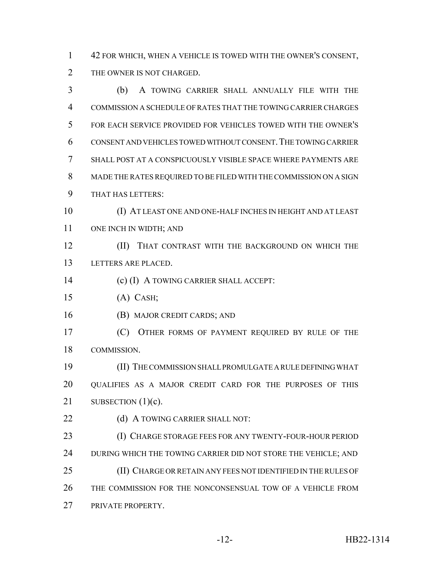42 FOR WHICH, WHEN A VEHICLE IS TOWED WITH THE OWNER'S CONSENT, 2 THE OWNER IS NOT CHARGED.

 (b) A TOWING CARRIER SHALL ANNUALLY FILE WITH THE COMMISSION A SCHEDULE OF RATES THAT THE TOWING CARRIER CHARGES FOR EACH SERVICE PROVIDED FOR VEHICLES TOWED WITH THE OWNER'S CONSENT AND VEHICLES TOWED WITHOUT CONSENT.THE TOWING CARRIER SHALL POST AT A CONSPICUOUSLY VISIBLE SPACE WHERE PAYMENTS ARE MADE THE RATES REQUIRED TO BE FILED WITH THE COMMISSION ON A SIGN THAT HAS LETTERS: (I) AT LEAST ONE AND ONE-HALF INCHES IN HEIGHT AND AT LEAST ONE INCH IN WIDTH; AND (II) THAT CONTRAST WITH THE BACKGROUND ON WHICH THE LETTERS ARE PLACED. (c) (I) A TOWING CARRIER SHALL ACCEPT: (A) CASH; (B) MAJOR CREDIT CARDS; AND (C) OTHER FORMS OF PAYMENT REQUIRED BY RULE OF THE COMMISSION. (II) THE COMMISSION SHALL PROMULGATE A RULE DEFINING WHAT QUALIFIES AS A MAJOR CREDIT CARD FOR THE PURPOSES OF THIS 21 SUBSECTION  $(1)(c)$ . 22 (d) A TOWING CARRIER SHALL NOT: (I) CHARGE STORAGE FEES FOR ANY TWENTY-FOUR-HOUR PERIOD 24 DURING WHICH THE TOWING CARRIER DID NOT STORE THE VEHICLE; AND (II) CHARGE OR RETAIN ANY FEES NOT IDENTIFIED IN THE RULES OF THE COMMISSION FOR THE NONCONSENSUAL TOW OF A VEHICLE FROM PRIVATE PROPERTY.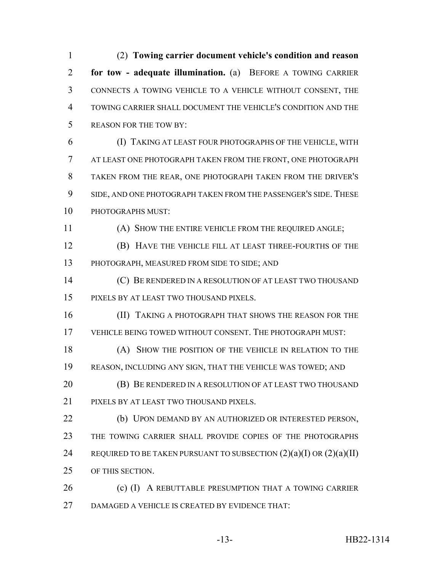(2) **Towing carrier document vehicle's condition and reason for tow - adequate illumination.** (a) BEFORE A TOWING CARRIER CONNECTS A TOWING VEHICLE TO A VEHICLE WITHOUT CONSENT, THE TOWING CARRIER SHALL DOCUMENT THE VEHICLE'S CONDITION AND THE REASON FOR THE TOW BY:

 (I) TAKING AT LEAST FOUR PHOTOGRAPHS OF THE VEHICLE, WITH AT LEAST ONE PHOTOGRAPH TAKEN FROM THE FRONT, ONE PHOTOGRAPH TAKEN FROM THE REAR, ONE PHOTOGRAPH TAKEN FROM THE DRIVER'S SIDE, AND ONE PHOTOGRAPH TAKEN FROM THE PASSENGER'S SIDE. THESE PHOTOGRAPHS MUST:

(A) SHOW THE ENTIRE VEHICLE FROM THE REQUIRED ANGLE;

 (B) HAVE THE VEHICLE FILL AT LEAST THREE-FOURTHS OF THE PHOTOGRAPH, MEASURED FROM SIDE TO SIDE; AND

 (C) BE RENDERED IN A RESOLUTION OF AT LEAST TWO THOUSAND PIXELS BY AT LEAST TWO THOUSAND PIXELS.

**(II) TAKING A PHOTOGRAPH THAT SHOWS THE REASON FOR THE** VEHICLE BEING TOWED WITHOUT CONSENT. THE PHOTOGRAPH MUST:

 (A) SHOW THE POSITION OF THE VEHICLE IN RELATION TO THE REASON, INCLUDING ANY SIGN, THAT THE VEHICLE WAS TOWED; AND

**(B) BE RENDERED IN A RESOLUTION OF AT LEAST TWO THOUSAND** PIXELS BY AT LEAST TWO THOUSAND PIXELS.

 (b) UPON DEMAND BY AN AUTHORIZED OR INTERESTED PERSON, THE TOWING CARRIER SHALL PROVIDE COPIES OF THE PHOTOGRAPHS 24 REQUIRED TO BE TAKEN PURSUANT TO SUBSECTION  $(2)(a)(I)$  OR  $(2)(a)(II)$ OF THIS SECTION.

26 (c) (I) A REBUTTABLE PRESUMPTION THAT A TOWING CARRIER DAMAGED A VEHICLE IS CREATED BY EVIDENCE THAT: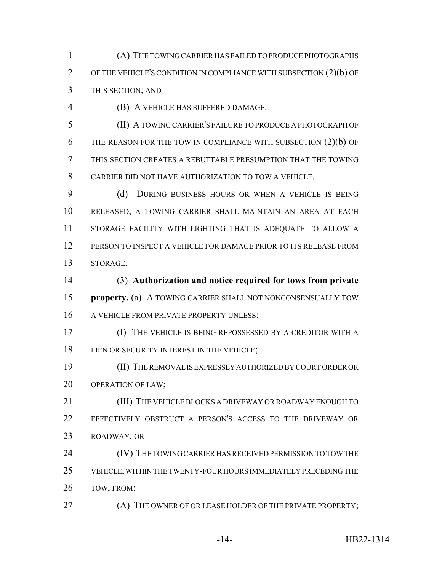(A) THE TOWING CARRIER HAS FAILED TO PRODUCE PHOTOGRAPHS OF THE VEHICLE'S CONDITION IN COMPLIANCE WITH SUBSECTION (2)(b) OF THIS SECTION; AND

(B) A VEHICLE HAS SUFFERED DAMAGE.

 (II) A TOWING CARRIER'S FAILURE TO PRODUCE A PHOTOGRAPH OF THE REASON FOR THE TOW IN COMPLIANCE WITH SUBSECTION (2)(b) OF THIS SECTION CREATES A REBUTTABLE PRESUMPTION THAT THE TOWING CARRIER DID NOT HAVE AUTHORIZATION TO TOW A VEHICLE.

 (d) DURING BUSINESS HOURS OR WHEN A VEHICLE IS BEING RELEASED, A TOWING CARRIER SHALL MAINTAIN AN AREA AT EACH STORAGE FACILITY WITH LIGHTING THAT IS ADEQUATE TO ALLOW A PERSON TO INSPECT A VEHICLE FOR DAMAGE PRIOR TO ITS RELEASE FROM STORAGE.

 (3) **Authorization and notice required for tows from private property.** (a) A TOWING CARRIER SHALL NOT NONCONSENSUALLY TOW 16 A VEHICLE FROM PRIVATE PROPERTY UNLESS:

 (I) THE VEHICLE IS BEING REPOSSESSED BY A CREDITOR WITH A 18 LIEN OR SECURITY INTEREST IN THE VEHICLE;

 (II) THE REMOVAL IS EXPRESSLY AUTHORIZED BY COURT ORDER OR OPERATION OF LAW;

**(III)** THE VEHICLE BLOCKS A DRIVEWAY OR ROADWAY ENOUGH TO EFFECTIVELY OBSTRUCT A PERSON'S ACCESS TO THE DRIVEWAY OR ROADWAY; OR

 (IV) THE TOWING CARRIER HAS RECEIVED PERMISSION TO TOW THE VEHICLE, WITHIN THE TWENTY-FOUR HOURS IMMEDIATELY PRECEDING THE TOW, FROM:

27 (A) THE OWNER OF OR LEASE HOLDER OF THE PRIVATE PROPERTY;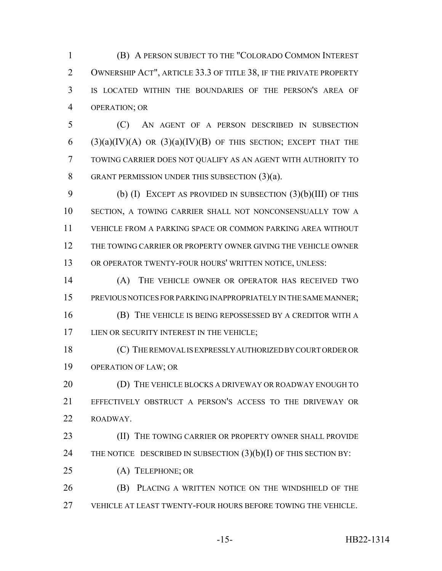(B) A PERSON SUBJECT TO THE "COLORADO COMMON INTEREST OWNERSHIP ACT", ARTICLE 33.3 OF TITLE 38, IF THE PRIVATE PROPERTY IS LOCATED WITHIN THE BOUNDARIES OF THE PERSON'S AREA OF OPERATION; OR

 (C) AN AGENT OF A PERSON DESCRIBED IN SUBSECTION 6 (3)(a)(IV)(A) OR (3)(a)(IV)(B) OF THIS SECTION; EXCEPT THAT THE TOWING CARRIER DOES NOT QUALIFY AS AN AGENT WITH AUTHORITY TO GRANT PERMISSION UNDER THIS SUBSECTION (3)(a).

 (b) (I) EXCEPT AS PROVIDED IN SUBSECTION (3)(b)(III) OF THIS SECTION, A TOWING CARRIER SHALL NOT NONCONSENSUALLY TOW A VEHICLE FROM A PARKING SPACE OR COMMON PARKING AREA WITHOUT THE TOWING CARRIER OR PROPERTY OWNER GIVING THE VEHICLE OWNER OR OPERATOR TWENTY-FOUR HOURS' WRITTEN NOTICE, UNLESS:

 (A) THE VEHICLE OWNER OR OPERATOR HAS RECEIVED TWO PREVIOUS NOTICES FOR PARKING INAPPROPRIATELY IN THE SAME MANNER; (B) THE VEHICLE IS BEING REPOSSESSED BY A CREDITOR WITH A

17 LIEN OR SECURITY INTEREST IN THE VEHICLE;

 (C) THE REMOVAL IS EXPRESSLY AUTHORIZED BY COURT ORDER OR OPERATION OF LAW; OR

20 (D) THE VEHICLE BLOCKS A DRIVEWAY OR ROADWAY ENOUGH TO EFFECTIVELY OBSTRUCT A PERSON'S ACCESS TO THE DRIVEWAY OR ROADWAY.

**(II) THE TOWING CARRIER OR PROPERTY OWNER SHALL PROVIDE** 24 THE NOTICE DESCRIBED IN SUBSECTION  $(3)(b)(I)$  OF THIS SECTION BY:

(A) TELEPHONE; OR

 (B) PLACING A WRITTEN NOTICE ON THE WINDSHIELD OF THE VEHICLE AT LEAST TWENTY-FOUR HOURS BEFORE TOWING THE VEHICLE.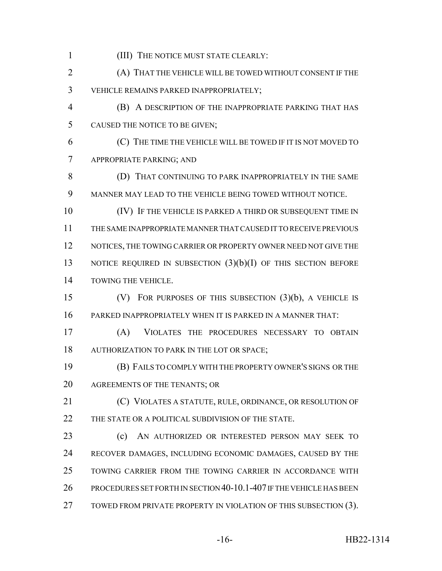(III) THE NOTICE MUST STATE CLEARLY: (A) THAT THE VEHICLE WILL BE TOWED WITHOUT CONSENT IF THE VEHICLE REMAINS PARKED INAPPROPRIATELY; (B) A DESCRIPTION OF THE INAPPROPRIATE PARKING THAT HAS CAUSED THE NOTICE TO BE GIVEN; (C) THE TIME THE VEHICLE WILL BE TOWED IF IT IS NOT MOVED TO APPROPRIATE PARKING; AND (D) THAT CONTINUING TO PARK INAPPROPRIATELY IN THE SAME MANNER MAY LEAD TO THE VEHICLE BEING TOWED WITHOUT NOTICE. 10 (IV) IF THE VEHICLE IS PARKED A THIRD OR SUBSEQUENT TIME IN THE SAME INAPPROPRIATE MANNER THAT CAUSED IT TO RECEIVE PREVIOUS 12 NOTICES, THE TOWING CARRIER OR PROPERTY OWNER NEED NOT GIVE THE 13 NOTICE REQUIRED IN SUBSECTION (3)(b)(I) OF THIS SECTION BEFORE TOWING THE VEHICLE. (V) FOR PURPOSES OF THIS SUBSECTION (3)(b), A VEHICLE IS PARKED INAPPROPRIATELY WHEN IT IS PARKED IN A MANNER THAT: (A) VIOLATES THE PROCEDURES NECESSARY TO OBTAIN AUTHORIZATION TO PARK IN THE LOT OR SPACE; (B) FAILS TO COMPLY WITH THE PROPERTY OWNER'S SIGNS OR THE AGREEMENTS OF THE TENANTS; OR (C) VIOLATES A STATUTE, RULE, ORDINANCE, OR RESOLUTION OF 22 THE STATE OR A POLITICAL SUBDIVISION OF THE STATE. (c) AN AUTHORIZED OR INTERESTED PERSON MAY SEEK TO RECOVER DAMAGES, INCLUDING ECONOMIC DAMAGES, CAUSED BY THE TOWING CARRIER FROM THE TOWING CARRIER IN ACCORDANCE WITH PROCEDURES SET FORTH IN SECTION 40-10.1-407 IF THE VEHICLE HAS BEEN 27 TOWED FROM PRIVATE PROPERTY IN VIOLATION OF THIS SUBSECTION (3).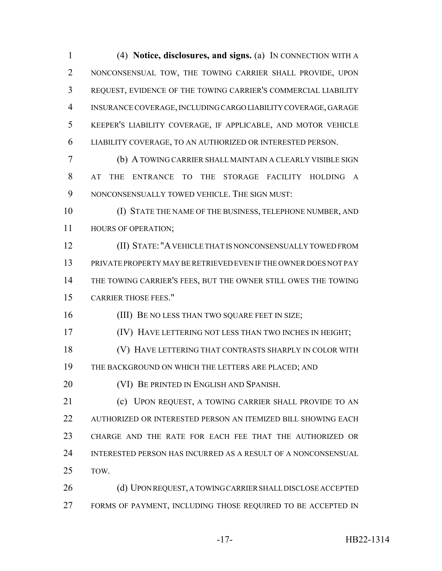(4) **Notice, disclosures, and signs.** (a) IN CONNECTION WITH A NONCONSENSUAL TOW, THE TOWING CARRIER SHALL PROVIDE, UPON REQUEST, EVIDENCE OF THE TOWING CARRIER'S COMMERCIAL LIABILITY INSURANCE COVERAGE, INCLUDING CARGO LIABILITY COVERAGE, GARAGE KEEPER'S LIABILITY COVERAGE, IF APPLICABLE, AND MOTOR VEHICLE LIABILITY COVERAGE, TO AN AUTHORIZED OR INTERESTED PERSON.

 (b) A TOWING CARRIER SHALL MAINTAIN A CLEARLY VISIBLE SIGN AT THE ENTRANCE TO THE STORAGE FACILITY HOLDING A NONCONSENSUALLY TOWED VEHICLE. THE SIGN MUST:

 (I) STATE THE NAME OF THE BUSINESS, TELEPHONE NUMBER, AND HOURS OF OPERATION;

 (II) STATE: "A VEHICLE THAT IS NONCONSENSUALLY TOWED FROM PRIVATE PROPERTY MAY BE RETRIEVED EVEN IF THE OWNER DOES NOT PAY THE TOWING CARRIER'S FEES, BUT THE OWNER STILL OWES THE TOWING CARRIER THOSE FEES."

16 (III) BE NO LESS THAN TWO SQUARE FEET IN SIZE;

(IV) HAVE LETTERING NOT LESS THAN TWO INCHES IN HEIGHT;

 (V) HAVE LETTERING THAT CONTRASTS SHARPLY IN COLOR WITH THE BACKGROUND ON WHICH THE LETTERS ARE PLACED; AND

(VI) BE PRINTED IN ENGLISH AND SPANISH.

21 (c) UPON REQUEST, A TOWING CARRIER SHALL PROVIDE TO AN AUTHORIZED OR INTERESTED PERSON AN ITEMIZED BILL SHOWING EACH CHARGE AND THE RATE FOR EACH FEE THAT THE AUTHORIZED OR INTERESTED PERSON HAS INCURRED AS A RESULT OF A NONCONSENSUAL TOW.

26 (d) UPON REQUEST, A TOWING CARRIER SHALL DISCLOSE ACCEPTED FORMS OF PAYMENT, INCLUDING THOSE REQUIRED TO BE ACCEPTED IN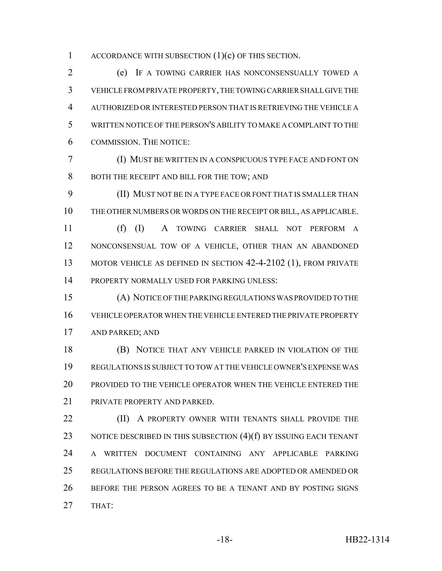1 ACCORDANCE WITH SUBSECTION  $(1)(c)$  OF THIS SECTION.

 (e) IF A TOWING CARRIER HAS NONCONSENSUALLY TOWED A VEHICLE FROM PRIVATE PROPERTY, THE TOWING CARRIER SHALL GIVE THE AUTHORIZED OR INTERESTED PERSON THAT IS RETRIEVING THE VEHICLE A WRITTEN NOTICE OF THE PERSON'S ABILITY TO MAKE A COMPLAINT TO THE COMMISSION. THE NOTICE:

 (I) MUST BE WRITTEN IN A CONSPICUOUS TYPE FACE AND FONT ON 8 BOTH THE RECEIPT AND BILL FOR THE TOW; AND

 (II) MUST NOT BE IN A TYPE FACE OR FONT THAT IS SMALLER THAN THE OTHER NUMBERS OR WORDS ON THE RECEIPT OR BILL, AS APPLICABLE.

 (f) (I) A TOWING CARRIER SHALL NOT PERFORM A NONCONSENSUAL TOW OF A VEHICLE, OTHER THAN AN ABANDONED 13 MOTOR VEHICLE AS DEFINED IN SECTION 42-4-2102 (1), FROM PRIVATE PROPERTY NORMALLY USED FOR PARKING UNLESS:

 (A) NOTICE OF THE PARKING REGULATIONS WAS PROVIDED TO THE VEHICLE OPERATOR WHEN THE VEHICLE ENTERED THE PRIVATE PROPERTY AND PARKED; AND

 (B) NOTICE THAT ANY VEHICLE PARKED IN VIOLATION OF THE REGULATIONS IS SUBJECT TO TOW AT THE VEHICLE OWNER'S EXPENSE WAS PROVIDED TO THE VEHICLE OPERATOR WHEN THE VEHICLE ENTERED THE PRIVATE PROPERTY AND PARKED.

**(II)** A PROPERTY OWNER WITH TENANTS SHALL PROVIDE THE 23 NOTICE DESCRIBED IN THIS SUBSECTION (4)(f) BY ISSUING EACH TENANT A WRITTEN DOCUMENT CONTAINING ANY APPLICABLE PARKING REGULATIONS BEFORE THE REGULATIONS ARE ADOPTED OR AMENDED OR BEFORE THE PERSON AGREES TO BE A TENANT AND BY POSTING SIGNS THAT: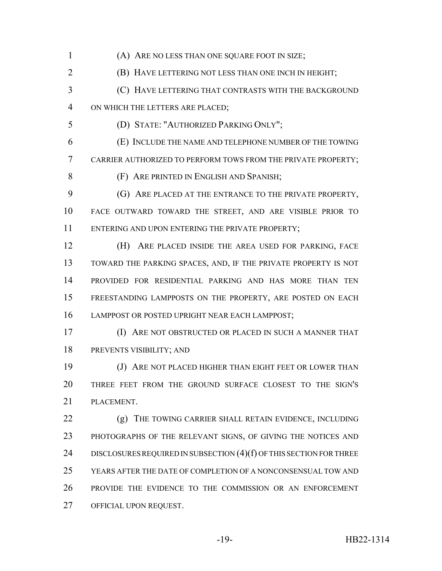(A) ARE NO LESS THAN ONE SQUARE FOOT IN SIZE;

(B) HAVE LETTERING NOT LESS THAN ONE INCH IN HEIGHT;

 (C) HAVE LETTERING THAT CONTRASTS WITH THE BACKGROUND ON WHICH THE LETTERS ARE PLACED;

(D) STATE: "AUTHORIZED PARKING ONLY";

 (E) INCLUDE THE NAME AND TELEPHONE NUMBER OF THE TOWING CARRIER AUTHORIZED TO PERFORM TOWS FROM THE PRIVATE PROPERTY;

(F) ARE PRINTED IN ENGLISH AND SPANISH;

 (G) ARE PLACED AT THE ENTRANCE TO THE PRIVATE PROPERTY, FACE OUTWARD TOWARD THE STREET, AND ARE VISIBLE PRIOR TO 11 ENTERING AND UPON ENTERING THE PRIVATE PROPERTY;

 (H) ARE PLACED INSIDE THE AREA USED FOR PARKING, FACE TOWARD THE PARKING SPACES, AND, IF THE PRIVATE PROPERTY IS NOT PROVIDED FOR RESIDENTIAL PARKING AND HAS MORE THAN TEN FREESTANDING LAMPPOSTS ON THE PROPERTY, ARE POSTED ON EACH LAMPPOST OR POSTED UPRIGHT NEAR EACH LAMPPOST;

 (I) ARE NOT OBSTRUCTED OR PLACED IN SUCH A MANNER THAT PREVENTS VISIBILITY; AND

**(J) ARE NOT PLACED HIGHER THAN EIGHT FEET OR LOWER THAN**  THREE FEET FROM THE GROUND SURFACE CLOSEST TO THE SIGN'S PLACEMENT.

 (g) THE TOWING CARRIER SHALL RETAIN EVIDENCE, INCLUDING PHOTOGRAPHS OF THE RELEVANT SIGNS, OF GIVING THE NOTICES AND 24 DISCLOSURES REQUIRED IN SUBSECTION (4)(f) OF THIS SECTION FOR THREE YEARS AFTER THE DATE OF COMPLETION OF A NONCONSENSUAL TOW AND PROVIDE THE EVIDENCE TO THE COMMISSION OR AN ENFORCEMENT OFFICIAL UPON REQUEST.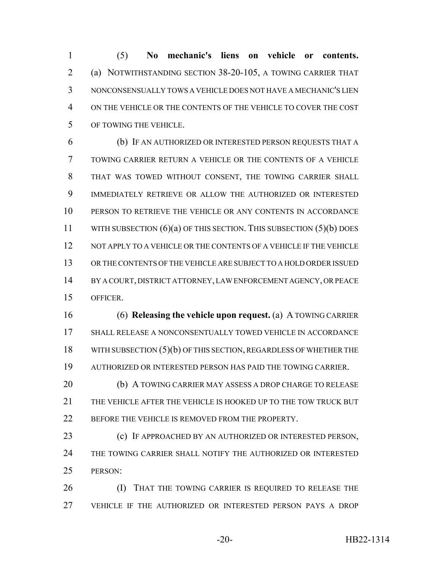(5) **No mechanic's liens on vehicle or contents.** (a) NOTWITHSTANDING SECTION 38-20-105, A TOWING CARRIER THAT NONCONSENSUALLY TOWS A VEHICLE DOES NOT HAVE A MECHANIC'S LIEN ON THE VEHICLE OR THE CONTENTS OF THE VEHICLE TO COVER THE COST OF TOWING THE VEHICLE.

 (b) IF AN AUTHORIZED OR INTERESTED PERSON REQUESTS THAT A TOWING CARRIER RETURN A VEHICLE OR THE CONTENTS OF A VEHICLE THAT WAS TOWED WITHOUT CONSENT, THE TOWING CARRIER SHALL IMMEDIATELY RETRIEVE OR ALLOW THE AUTHORIZED OR INTERESTED PERSON TO RETRIEVE THE VEHICLE OR ANY CONTENTS IN ACCORDANCE 11 WITH SUBSECTION (6)(a) OF THIS SECTION. THIS SUBSECTION (5)(b) DOES 12 NOT APPLY TO A VEHICLE OR THE CONTENTS OF A VEHICLE IF THE VEHICLE OR THE CONTENTS OF THE VEHICLE ARE SUBJECT TO A HOLD ORDER ISSUED BY A COURT, DISTRICT ATTORNEY, LAW ENFORCEMENT AGENCY, OR PEACE OFFICER.

 (6) **Releasing the vehicle upon request.** (a) A TOWING CARRIER SHALL RELEASE A NONCONSENTUALLY TOWED VEHICLE IN ACCORDANCE 18 WITH SUBSECTION (5)(b) OF THIS SECTION, REGARDLESS OF WHETHER THE AUTHORIZED OR INTERESTED PERSON HAS PAID THE TOWING CARRIER.

 (b) A TOWING CARRIER MAY ASSESS A DROP CHARGE TO RELEASE THE VEHICLE AFTER THE VEHICLE IS HOOKED UP TO THE TOW TRUCK BUT 22 BEFORE THE VEHICLE IS REMOVED FROM THE PROPERTY.

 (c) IF APPROACHED BY AN AUTHORIZED OR INTERESTED PERSON, THE TOWING CARRIER SHALL NOTIFY THE AUTHORIZED OR INTERESTED PERSON:

**(I)** THAT THE TOWING CARRIER IS REQUIRED TO RELEASE THE VEHICLE IF THE AUTHORIZED OR INTERESTED PERSON PAYS A DROP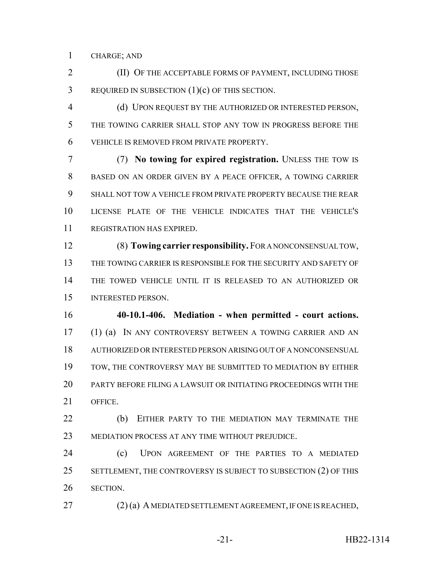CHARGE; AND

 (II) OF THE ACCEPTABLE FORMS OF PAYMENT, INCLUDING THOSE REQUIRED IN SUBSECTION (1)(c) OF THIS SECTION.

 (d) UPON REQUEST BY THE AUTHORIZED OR INTERESTED PERSON, THE TOWING CARRIER SHALL STOP ANY TOW IN PROGRESS BEFORE THE VEHICLE IS REMOVED FROM PRIVATE PROPERTY.

 (7) **No towing for expired registration.** UNLESS THE TOW IS BASED ON AN ORDER GIVEN BY A PEACE OFFICER, A TOWING CARRIER SHALL NOT TOW A VEHICLE FROM PRIVATE PROPERTY BECAUSE THE REAR LICENSE PLATE OF THE VEHICLE INDICATES THAT THE VEHICLE'S REGISTRATION HAS EXPIRED.

 (8) **Towing carrier responsibility.** FOR A NONCONSENSUAL TOW, THE TOWING CARRIER IS RESPONSIBLE FOR THE SECURITY AND SAFETY OF THE TOWED VEHICLE UNTIL IT IS RELEASED TO AN AUTHORIZED OR INTERESTED PERSON.

 **40-10.1-406. Mediation - when permitted - court actions.** (1) (a) IN ANY CONTROVERSY BETWEEN A TOWING CARRIER AND AN AUTHORIZED OR INTERESTED PERSON ARISING OUT OF A NONCONSENSUAL TOW, THE CONTROVERSY MAY BE SUBMITTED TO MEDIATION BY EITHER PARTY BEFORE FILING A LAWSUIT OR INITIATING PROCEEDINGS WITH THE OFFICE.

**(b)** EITHER PARTY TO THE MEDIATION MAY TERMINATE THE MEDIATION PROCESS AT ANY TIME WITHOUT PREJUDICE.

 (c) UPON AGREEMENT OF THE PARTIES TO A MEDIATED 25 SETTLEMENT, THE CONTROVERSY IS SUBJECT TO SUBSECTION (2) OF THIS SECTION.

(2) (a) A MEDIATED SETTLEMENT AGREEMENT, IF ONE IS REACHED,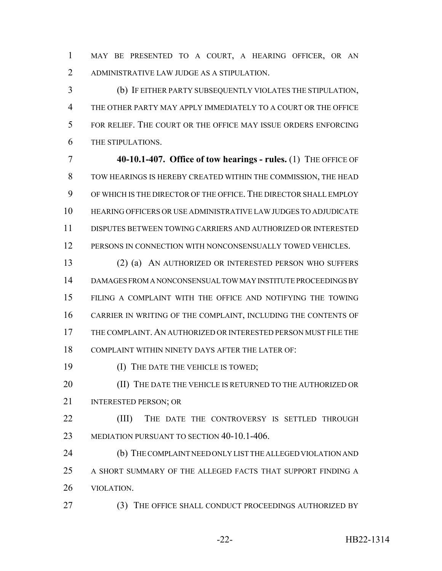MAY BE PRESENTED TO A COURT, A HEARING OFFICER, OR AN ADMINISTRATIVE LAW JUDGE AS A STIPULATION.

 (b) IF EITHER PARTY SUBSEQUENTLY VIOLATES THE STIPULATION, THE OTHER PARTY MAY APPLY IMMEDIATELY TO A COURT OR THE OFFICE FOR RELIEF. THE COURT OR THE OFFICE MAY ISSUE ORDERS ENFORCING THE STIPULATIONS.

 **40-10.1-407. Office of tow hearings - rules.** (1) THE OFFICE OF TOW HEARINGS IS HEREBY CREATED WITHIN THE COMMISSION, THE HEAD OF WHICH IS THE DIRECTOR OF THE OFFICE. THE DIRECTOR SHALL EMPLOY HEARING OFFICERS OR USE ADMINISTRATIVE LAW JUDGES TO ADJUDICATE DISPUTES BETWEEN TOWING CARRIERS AND AUTHORIZED OR INTERESTED PERSONS IN CONNECTION WITH NONCONSENSUALLY TOWED VEHICLES.

 (2) (a) AN AUTHORIZED OR INTERESTED PERSON WHO SUFFERS DAMAGES FROM A NONCONSENSUAL TOW MAY INSTITUTE PROCEEDINGS BY FILING A COMPLAINT WITH THE OFFICE AND NOTIFYING THE TOWING CARRIER IN WRITING OF THE COMPLAINT, INCLUDING THE CONTENTS OF THE COMPLAINT. AN AUTHORIZED OR INTERESTED PERSON MUST FILE THE COMPLAINT WITHIN NINETY DAYS AFTER THE LATER OF:

19 (I) THE DATE THE VEHICLE IS TOWED;

20 (II) THE DATE THE VEHICLE IS RETURNED TO THE AUTHORIZED OR 21 INTERESTED PERSON: OR

**(III)** THE DATE THE CONTROVERSY IS SETTLED THROUGH 23 MEDIATION PURSUANT TO SECTION 40-10.1-406.

 (b) THE COMPLAINT NEED ONLY LIST THE ALLEGED VIOLATION AND A SHORT SUMMARY OF THE ALLEGED FACTS THAT SUPPORT FINDING A VIOLATION.

(3) THE OFFICE SHALL CONDUCT PROCEEDINGS AUTHORIZED BY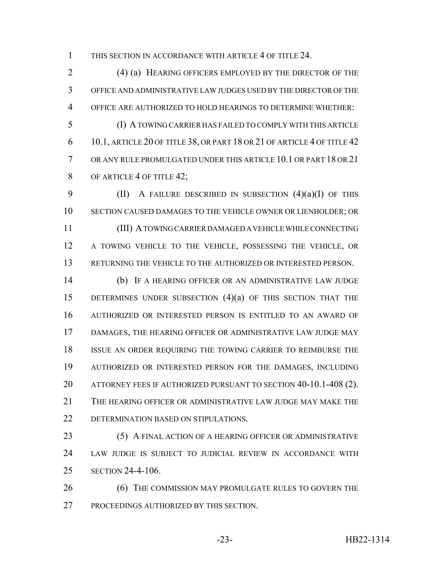THIS SECTION IN ACCORDANCE WITH ARTICLE 4 OF TITLE 24.

 (4) (a) HEARING OFFICERS EMPLOYED BY THE DIRECTOR OF THE OFFICE AND ADMINISTRATIVE LAW JUDGES USED BY THE DIRECTOR OF THE OFFICE ARE AUTHORIZED TO HOLD HEARINGS TO DETERMINE WHETHER:

 (I) A TOWING CARRIER HAS FAILED TO COMPLY WITH THIS ARTICLE 10.1, ARTICLE 20 OF TITLE 38, OR PART 18 OR 21 OF ARTICLE 4 OF TITLE 42 OR ANY RULE PROMULGATED UNDER THIS ARTICLE 10.1 OR PART 18 OR 21 8 OF ARTICLE 4 OF TITLE 42;

 (II) A FAILURE DESCRIBED IN SUBSECTION (4)(a)(I) OF THIS SECTION CAUSED DAMAGES TO THE VEHICLE OWNER OR LIENHOLDER; OR (III) A TOWING CARRIER DAMAGED A VEHICLE WHILE CONNECTING A TOWING VEHICLE TO THE VEHICLE, POSSESSING THE VEHICLE, OR RETURNING THE VEHICLE TO THE AUTHORIZED OR INTERESTED PERSON.

 (b) IF A HEARING OFFICER OR AN ADMINISTRATIVE LAW JUDGE 15 DETERMINES UNDER SUBSECTION (4)(a) OF THIS SECTION THAT THE AUTHORIZED OR INTERESTED PERSON IS ENTITLED TO AN AWARD OF DAMAGES, THE HEARING OFFICER OR ADMINISTRATIVE LAW JUDGE MAY ISSUE AN ORDER REQUIRING THE TOWING CARRIER TO REIMBURSE THE AUTHORIZED OR INTERESTED PERSON FOR THE DAMAGES, INCLUDING 20 ATTORNEY FEES IF AUTHORIZED PURSUANT TO SECTION 40-10.1-408 (2). THE HEARING OFFICER OR ADMINISTRATIVE LAW JUDGE MAY MAKE THE DETERMINATION BASED ON STIPULATIONS.

**(5) A FINAL ACTION OF A HEARING OFFICER OR ADMINISTRATIVE**  LAW JUDGE IS SUBJECT TO JUDICIAL REVIEW IN ACCORDANCE WITH SECTION 24-4-106.

**(6) THE COMMISSION MAY PROMULGATE RULES TO GOVERN THE** PROCEEDINGS AUTHORIZED BY THIS SECTION.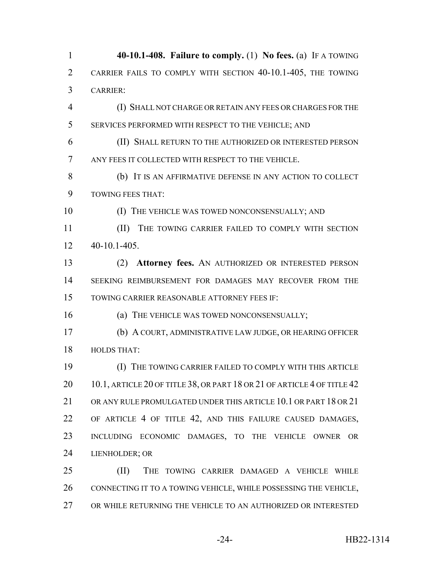**40-10.1-408. Failure to comply.** (1) **No fees.** (a) IF A TOWING CARRIER FAILS TO COMPLY WITH SECTION 40-10.1-405, THE TOWING CARRIER: (I) SHALL NOT CHARGE OR RETAIN ANY FEES OR CHARGES FOR THE SERVICES PERFORMED WITH RESPECT TO THE VEHICLE; AND (II) SHALL RETURN TO THE AUTHORIZED OR INTERESTED PERSON ANY FEES IT COLLECTED WITH RESPECT TO THE VEHICLE. (b) IT IS AN AFFIRMATIVE DEFENSE IN ANY ACTION TO COLLECT TOWING FEES THAT:

10 (I) THE VEHICLE WAS TOWED NONCONSENSUALLY; AND

**III** THE TOWING CARRIER FAILED TO COMPLY WITH SECTION 40-10.1-405.

 (2) **Attorney fees.** AN AUTHORIZED OR INTERESTED PERSON SEEKING REIMBURSEMENT FOR DAMAGES MAY RECOVER FROM THE TOWING CARRIER REASONABLE ATTORNEY FEES IF:

16 (a) THE VEHICLE WAS TOWED NONCONSENSUALLY;

 (b) A COURT, ADMINISTRATIVE LAW JUDGE, OR HEARING OFFICER HOLDS THAT:

 (I) THE TOWING CARRIER FAILED TO COMPLY WITH THIS ARTICLE 20 10.1, ARTICLE 20 OF TITLE 38, OR PART 18 OR 21 OF ARTICLE 4 OF TITLE 42 21 OR ANY RULE PROMULGATED UNDER THIS ARTICLE 10.1 OR PART 18 OR 21 OF ARTICLE 4 OF TITLE 42, AND THIS FAILURE CAUSED DAMAGES, INCLUDING ECONOMIC DAMAGES, TO THE VEHICLE OWNER OR LIENHOLDER; OR

 (II) THE TOWING CARRIER DAMAGED A VEHICLE WHILE CONNECTING IT TO A TOWING VEHICLE, WHILE POSSESSING THE VEHICLE, OR WHILE RETURNING THE VEHICLE TO AN AUTHORIZED OR INTERESTED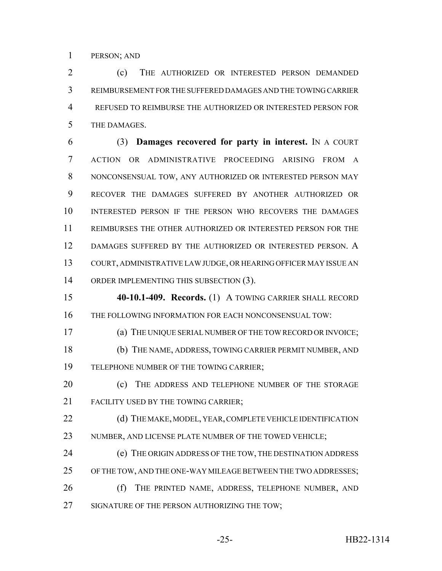PERSON; AND

 (c) THE AUTHORIZED OR INTERESTED PERSON DEMANDED REIMBURSEMENT FOR THE SUFFERED DAMAGES AND THE TOWING CARRIER 4 REFUSED TO REIMBURSE THE AUTHORIZED OR INTERESTED PERSON FOR THE DAMAGES.

 (3) **Damages recovered for party in interest.** IN A COURT ACTION OR ADMINISTRATIVE PROCEEDING ARISING FROM A NONCONSENSUAL TOW, ANY AUTHORIZED OR INTERESTED PERSON MAY RECOVER THE DAMAGES SUFFERED BY ANOTHER AUTHORIZED OR INTERESTED PERSON IF THE PERSON WHO RECOVERS THE DAMAGES REIMBURSES THE OTHER AUTHORIZED OR INTERESTED PERSON FOR THE DAMAGES SUFFERED BY THE AUTHORIZED OR INTERESTED PERSON. A COURT, ADMINISTRATIVE LAW JUDGE, OR HEARING OFFICER MAY ISSUE AN 14 ORDER IMPLEMENTING THIS SUBSECTION (3).

 **40-10.1-409. Records.** (1) A TOWING CARRIER SHALL RECORD 16 THE FOLLOWING INFORMATION FOR EACH NONCONSENSUAL TOW:

(a) THE UNIQUE SERIAL NUMBER OF THE TOW RECORD OR INVOICE;

 (b) THE NAME, ADDRESS, TOWING CARRIER PERMIT NUMBER, AND TELEPHONE NUMBER OF THE TOWING CARRIER;

20 (c) THE ADDRESS AND TELEPHONE NUMBER OF THE STORAGE 21 FACILITY USED BY THE TOWING CARRIER:

22 (d) THE MAKE, MODEL, YEAR, COMPLETE VEHICLE IDENTIFICATION 23 NUMBER, AND LICENSE PLATE NUMBER OF THE TOWED VEHICLE;

 (e) THE ORIGIN ADDRESS OF THE TOW, THE DESTINATION ADDRESS OF THE TOW, AND THE ONE-WAY MILEAGE BETWEEN THE TWO ADDRESSES;

26 (f) THE PRINTED NAME, ADDRESS, TELEPHONE NUMBER, AND 27 SIGNATURE OF THE PERSON AUTHORIZING THE TOW;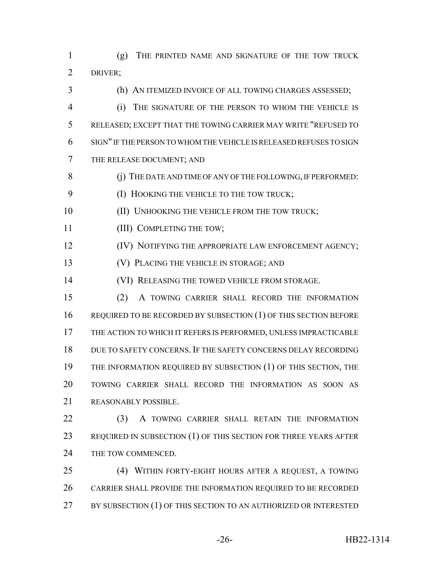(g) THE PRINTED NAME AND SIGNATURE OF THE TOW TRUCK DRIVER;

 (h) AN ITEMIZED INVOICE OF ALL TOWING CHARGES ASSESSED; (i) THE SIGNATURE OF THE PERSON TO WHOM THE VEHICLE IS RELEASED; EXCEPT THAT THE TOWING CARRIER MAY WRITE "REFUSED TO SIGN" IF THE PERSON TO WHOM THE VEHICLE IS RELEASED REFUSES TO SIGN THE RELEASE DOCUMENT; AND

8 (i) THE DATE AND TIME OF ANY OF THE FOLLOWING, IF PERFORMED:

**(I) HOOKING THE VEHICLE TO THE TOW TRUCK;** 

**(II) UNHOOKING THE VEHICLE FROM THE TOW TRUCK;** 

11 (III) COMPLETING THE TOW;

**IV) NOTIFYING THE APPROPRIATE LAW ENFORCEMENT AGENCY;** 

(V) PLACING THE VEHICLE IN STORAGE; AND

**(VI) RELEASING THE TOWED VEHICLE FROM STORAGE.** 

 (2) A TOWING CARRIER SHALL RECORD THE INFORMATION 16 REQUIRED TO BE RECORDED BY SUBSECTION (1) OF THIS SECTION BEFORE THE ACTION TO WHICH IT REFERS IS PERFORMED, UNLESS IMPRACTICABLE DUE TO SAFETY CONCERNS. IF THE SAFETY CONCERNS DELAY RECORDING 19 THE INFORMATION REQUIRED BY SUBSECTION (1) OF THIS SECTION, THE TOWING CARRIER SHALL RECORD THE INFORMATION AS SOON AS REASONABLY POSSIBLE.

22 (3) A TOWING CARRIER SHALL RETAIN THE INFORMATION 23 REQUIRED IN SUBSECTION (1) OF THIS SECTION FOR THREE YEARS AFTER 24 THE TOW COMMENCED.

 (4) WITHIN FORTY-EIGHT HOURS AFTER A REQUEST, A TOWING CARRIER SHALL PROVIDE THE INFORMATION REQUIRED TO BE RECORDED 27 BY SUBSECTION (1) OF THIS SECTION TO AN AUTHORIZED OR INTERESTED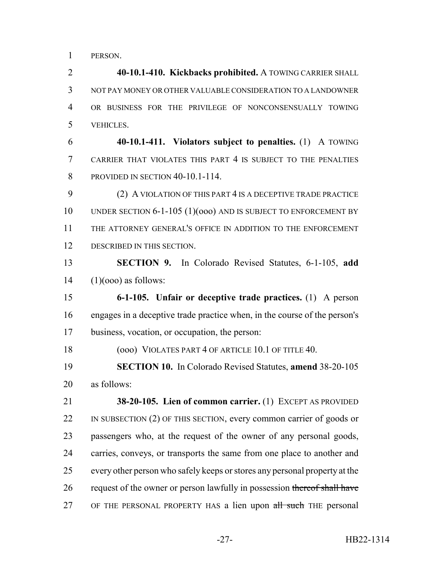PERSON.

 **40-10.1-410. Kickbacks prohibited.** A TOWING CARRIER SHALL NOT PAY MONEY OR OTHER VALUABLE CONSIDERATION TO A LANDOWNER OR BUSINESS FOR THE PRIVILEGE OF NONCONSENSUALLY TOWING VEHICLES.

 **40-10.1-411. Violators subject to penalties.** (1) A TOWING CARRIER THAT VIOLATES THIS PART 4 IS SUBJECT TO THE PENALTIES 8 PROVIDED IN SECTION 40-10.1-114.

 (2) A VIOLATION OF THIS PART 4 IS A DECEPTIVE TRADE PRACTICE UNDER SECTION 6-1-105 (1)(ooo) AND IS SUBJECT TO ENFORCEMENT BY THE ATTORNEY GENERAL'S OFFICE IN ADDITION TO THE ENFORCEMENT DESCRIBED IN THIS SECTION.

 **SECTION 9.** In Colorado Revised Statutes, 6-1-105, **add** (1)(000) as follows:

 **6-1-105. Unfair or deceptive trade practices.** (1) A person engages in a deceptive trade practice when, in the course of the person's business, vocation, or occupation, the person:

18 (000) VIOLATES PART 4 OF ARTICLE 10.1 OF TITLE 40.

 **SECTION 10.** In Colorado Revised Statutes, **amend** 38-20-105 as follows:

 **38-20-105. Lien of common carrier.** (1) EXCEPT AS PROVIDED 22 IN SUBSECTION (2) OF THIS SECTION, every common carrier of goods or passengers who, at the request of the owner of any personal goods, carries, conveys, or transports the same from one place to another and every other person who safely keeps or stores any personal property at the 26 request of the owner or person lawfully in possession thereof shall have 27 OF THE PERSONAL PROPERTY HAS a lien upon all such THE personal